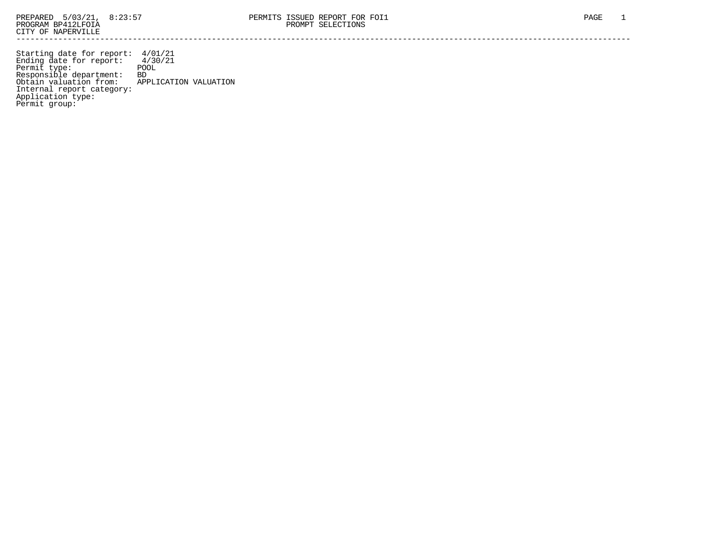Starting date for report: 4/01/21 Ending date for report: 4/30/21 Permit type: The POOL Responsible department: BD Obtain valuation from: APPLICATION VALUATION Internal report category: Application type: Permit group: